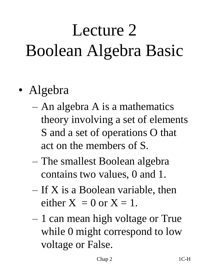# Lecture 2 Boolean Algebra Basic

- Algebra
	- An algebra A is a mathematics theory involving a set of elements S and a set of operations O that act on the members of S.
	- The smallest Boolean algebra contains two values, 0 and 1.
	- $-$  If X is a Boolean variable, then either  $X = 0$  or  $X = 1$ .
	- 1 can mean high voltage or True while 0 might correspond to low voltage or False.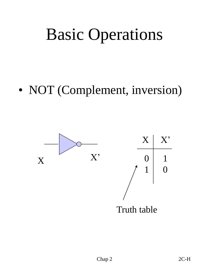## Basic Operations

• NOT (Complement, inversion)

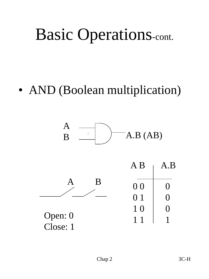## Basic Operations-cont.

#### • AND (Boolean multiplication)

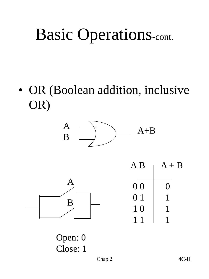## Basic Operations-cont.

• OR (Boolean addition, inclusive OR)





Open: 0 Close: 1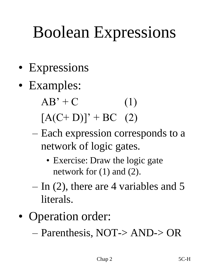## Boolean Expressions

- Expressions
- Examples:
	- $AB' + C$  (1)
	- $[A(C+D)]' + BC$  (2)
	- Each expression corresponds to a network of logic gates.
		- Exercise: Draw the logic gate network for (1) and (2).
	- $-$  In (2), there are 4 variables and 5 literals.
- Operation order:
	- Parenthesis, NOT-> AND-> OR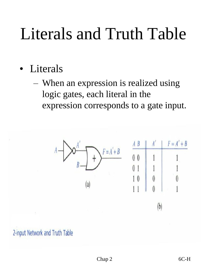## Literals and Truth Table

- **Literals** 
	- When an expression is realized using logic gates, each literal in the expression corresponds to a gate input.



2-input Network and Truth Table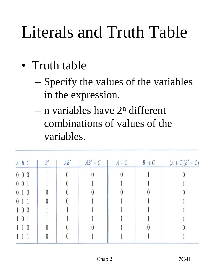## Literals and Truth Table

- Truth table
	- Specify the values of the variables in the expression.
	- $-$  n variables have  $2<sup>n</sup>$  different combinations of values of the variables.

| $A$ $B$ $C$ | B' | AB' | $AB'+C$ | $A + C$ | $B' + C$ | $(A + C)(B' + C)$ |
|-------------|----|-----|---------|---------|----------|-------------------|
| $0\,0\,0$   |    |     |         |         |          |                   |
| 001         |    |     |         |         |          |                   |
| 010         |    |     |         |         |          |                   |
| $\theta$    |    |     |         |         |          |                   |
| 100         |    |     |         |         |          |                   |
| $1 \t0 \t1$ |    |     |         |         |          |                   |
| $\theta$    |    |     |         |         |          |                   |
|             |    |     |         |         |          |                   |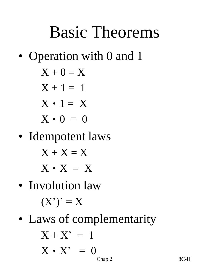### Basic Theorems

• Operation with 0 and 1

$$
X+0=X
$$

$$
X + 1 = 1
$$

$$
X \cdot 1 = X
$$

$$
X \cdot 0 = 0
$$

• Idempotent laws

$$
X+X=X
$$

$$
X \cdot X = X
$$

- Involution law  $(X')' = X$
- Laws of complementarity

$$
X + X' = 1
$$
  

$$
X \cdot X' = 0
$$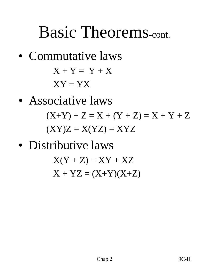#### Basic Theorems-cont.

• Commutative laws  $X + Y = Y + X$ 

 $XY = YX$ 

• Associative laws

 $(X+Y) + Z = X + (Y + Z) = X + Y + Z$  $(XY)Z = X(YZ) = XYZ$ 

• Distributive laws

 $X(Y + Z) = XY + XZ$  $X + YZ = (X+Y)(X+Z)$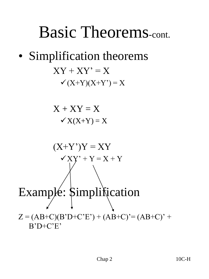#### Basic Theorems-cont.

#### • Simplification theorems  $XY + XY' = X$  $\checkmark$  (X+Y)(X+Y') = X

$$
X + XY = X
$$
  

$$
\checkmark X(X+Y) = X
$$

$$
(X+Y^{\prime})Y = XY
$$
  
\n
$$
\checkmark
$$
  
\n
$$
(-X+Y^{\prime})Y = XY
$$
  
\n
$$
\checkmark
$$
  
\n
$$
(-X+Y^{\prime})Y = XY
$$
  
\n
$$
\checkmark
$$
  
\n
$$
(-X+Y^{\prime})Y = XY
$$
  
\n
$$
\checkmark
$$
  
\n
$$
(-X+Y^{\prime})Y = XY
$$
  
\n
$$
\checkmark
$$
  
\n
$$
(-X+Y^{\prime})Y = X+Y
$$
  
\n
$$
\checkmark
$$
  
\n
$$
(-X+Y^{\prime})Y = (X+Y^{\prime})Y
$$
  
\n
$$
(-X+Y^{\prime})Y = (AB+C)^{\prime} + (AB+C)^{\prime} = (AB+C)^{\prime}
$$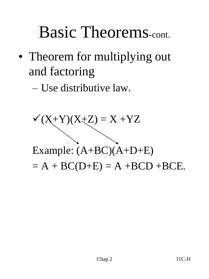### Basic Theorems-cont.

• Theorem for multiplying out and factoring

– Use distributive law.

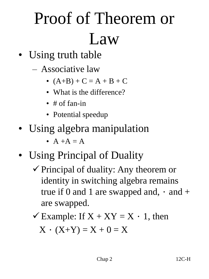# Proof of Theorem or Law

- Using truth table
	- Associative law
		- $(A+B) + C = A + B + C$
		- What is the difference?
		- # of fan-in
		- Potential speedup
- Using algebra manipulation
	- $A + A = A$
- Using Principal of Duality
	- $\checkmark$  Principal of duality: Any theorem or identity in switching algebra remains true if 0 and 1 are swapped and,  $\cdot$  and  $+$ are swapped.
	- $\checkmark$  Example: If  $X + XY = X \cdot 1$ , then

 $X \cdot (X+Y) = X + 0 = X$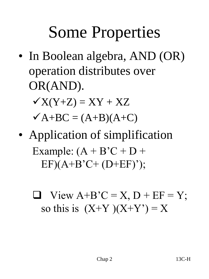## Some Properties

• In Boolean algebra, AND (OR) operation distributes over OR(AND).

 $\checkmark$ X(Y+Z) = XY + XZ  $\mathbf{\nabla} \mathbf{A} + \mathbf{B} \mathbf{C} = (\mathbf{A} + \mathbf{B})(\mathbf{A} + \mathbf{C})$ 

• Application of simplification Example:  $(A + B'C + D +$  $EF)(A+B'C+(D+EF)$ ;

 $\Box$  View A+B'C = X, D + EF = Y; so this is  $(X+Y)(X+Y') = X$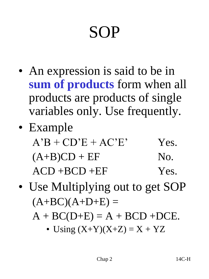# SOP

- An expression is said to be in **sum of products** form when all products are products of single variables only. Use frequently.
- Example  $A'B + CD'E + AC'E'$  Yes.  $(A+B)CD + EF$  No.  $ACD + BCD + EF$  Yes.
- Use Multiplying out to get SOP  $(A+BC)(A+D+E) =$ 
	- $A + BC(D+E) = A + BCD + DCE.$ 
		- Using  $(X+Y)(X+Z) = X + YZ$